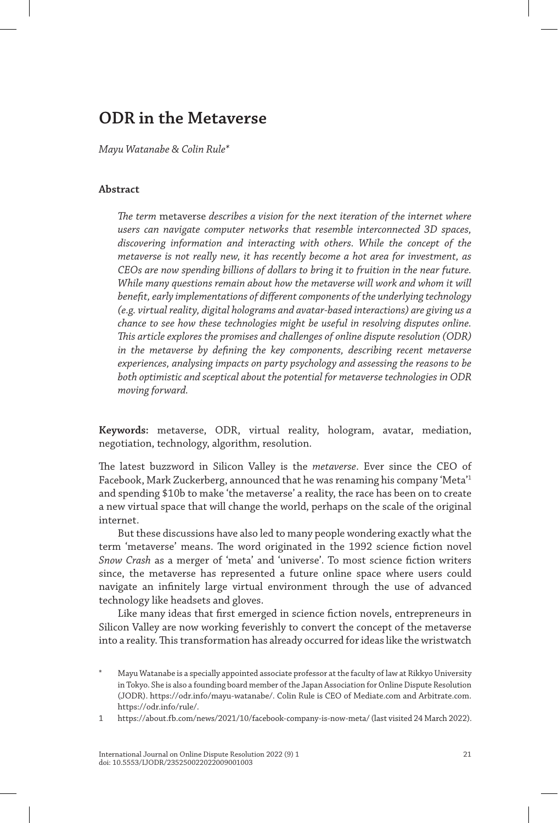# **ODR in the Metaverse**

*Mayu Watanabe & Colin Rule\**

# **Abstract**

*The term* metaverse *describes a vision for the next iteration of the internet where users can navigate computer networks that resemble interconnected 3D spaces, discovering information and interacting with others. While the concept of the metaverse is not really new, it has recently become a hot area for investment, as CEOs are now spending billions of dollars to bring it to fruition in the near future. While many questions remain about how the metaverse will work and whom it will benefit, early implementations of different components of the underlying technology (e.g. virtual reality, digital holograms and avatar-based interactions) are giving us a chance to see how these technologies might be useful in resolving disputes online. This article explores the promises and challenges of online dispute resolution (ODR) in the metaverse by defining the key components, describing recent metaverse experiences, analysing impacts on party psychology and assessing the reasons to be both optimistic and sceptical about the potential for metaverse technologies in ODR moving forward.*

**Keywords:** metaverse, ODR, virtual reality, hologram, avatar, mediation, negotiation, technology, algorithm, resolution.

The latest buzzword in Silicon Valley is the *metaverse*. Ever since the CEO of Facebook, Mark Zuckerberg, announced that he was renaming his company 'Meta'1 and spending \$10b to make 'the metaverse' a reality, the race has been on to create a new virtual space that will change the world, perhaps on the scale of the original internet.

But these discussions have also led to many people wondering exactly what the term 'metaverse' means. The word originated in the 1992 science fiction novel *Snow Crash* as a merger of 'meta' and 'universe'. To most science fiction writers since, the metaverse has represented a future online space where users could navigate an infinitely large virtual environment through the use of advanced technology like headsets and gloves.

Like many ideas that first emerged in science fiction novels, entrepreneurs in Silicon Valley are now working feverishly to convert the concept of the metaverse into a reality. This transformation has already occurred for ideas like the wristwatch

1 https://about.fb.com/news/2021/10/facebook-company-is-now-meta/ (last visited 24 March 2022).

Mayu Watanabe is a specially appointed associate professor at the faculty of law at Rikkyo University in Tokyo. She is also a founding board member of the Japan Association for Online Dispute Resolution (JODR). https://odr.info/mayu-watanabe/. Colin Rule is CEO of Mediate.com and Arbitrate.com. https://odr.info/rule/.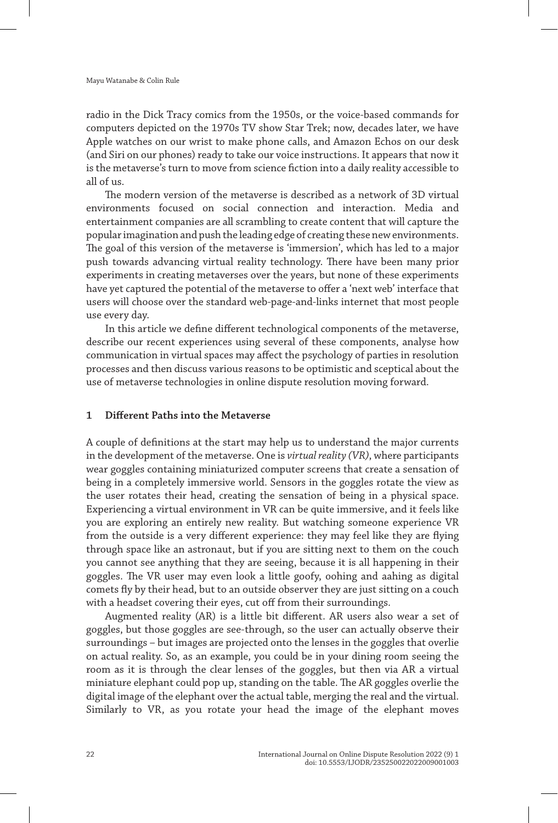radio in the Dick Tracy comics from the 1950s, or the voice-based commands for computers depicted on the 1970s TV show Star Trek; now, decades later, we have Apple watches on our wrist to make phone calls, and Amazon Echos on our desk (and Siri on our phones) ready to take our voice instructions. It appears that now it is the metaverse's turn to move from science fiction into a daily reality accessible to all of us.

The modern version of the metaverse is described as a network of 3D virtual environments focused on social connection and interaction. Media and entertainment companies are all scrambling to create content that will capture the popular imagination and push the leading edge of creating these new environments. The goal of this version of the metaverse is 'immersion', which has led to a major push towards advancing virtual reality technology. There have been many prior experiments in creating metaverses over the years, but none of these experiments have yet captured the potential of the metaverse to offer a 'next web' interface that users will choose over the standard web-page-and-links internet that most people use every day.

In this article we define different technological components of the metaverse, describe our recent experiences using several of these components, analyse how communication in virtual spaces may affect the psychology of parties in resolution processes and then discuss various reasons to be optimistic and sceptical about the use of metaverse technologies in online dispute resolution moving forward.

## **1 Different Paths into the Metaverse**

A couple of definitions at the start may help us to understand the major currents in the development of the metaverse. One is *virtual reality (VR)*, where participants wear goggles containing miniaturized computer screens that create a sensation of being in a completely immersive world. Sensors in the goggles rotate the view as the user rotates their head, creating the sensation of being in a physical space. Experiencing a virtual environment in VR can be quite immersive, and it feels like you are exploring an entirely new reality. But watching someone experience VR from the outside is a very different experience: they may feel like they are flying through space like an astronaut, but if you are sitting next to them on the couch you cannot see anything that they are seeing, because it is all happening in their goggles. The VR user may even look a little goofy, oohing and aahing as digital comets fly by their head, but to an outside observer they are just sitting on a couch with a headset covering their eyes, cut off from their surroundings.

Augmented reality (AR) is a little bit different. AR users also wear a set of goggles, but those goggles are see-through, so the user can actually observe their surroundings – but images are projected onto the lenses in the goggles that overlie on actual reality. So, as an example, you could be in your dining room seeing the room as it is through the clear lenses of the goggles, but then via AR a virtual miniature elephant could pop up, standing on the table. The AR goggles overlie the digital image of the elephant over the actual table, merging the real and the virtual. Similarly to VR, as you rotate your head the image of the elephant moves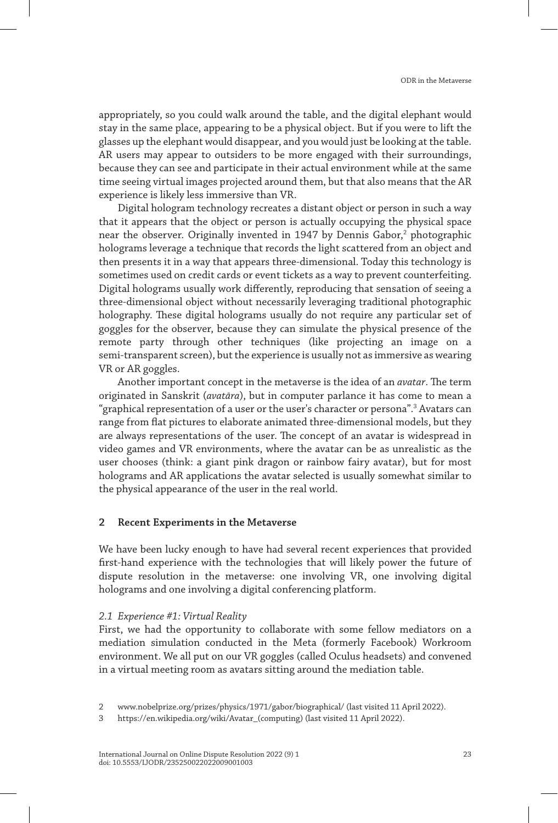appropriately, so you could walk around the table, and the digital elephant would stay in the same place, appearing to be a physical object. But if you were to lift the glasses up the elephant would disappear, and you would just be looking at the table. AR users may appear to outsiders to be more engaged with their surroundings, because they can see and participate in their actual environment while at the same time seeing virtual images projected around them, but that also means that the AR experience is likely less immersive than VR.

Digital hologram technology recreates a distant object or person in such a way that it appears that the object or person is actually occupying the physical space near the observer. Originally invented in 1947 by Dennis Gabor,<sup>2</sup> photographic holograms leverage a technique that records the light scattered from an object and then presents it in a way that appears three-dimensional. Today this technology is sometimes used on credit cards or event tickets as a way to prevent counterfeiting. Digital holograms usually work differently, reproducing that sensation of seeing a three-dimensional object without necessarily leveraging traditional photographic holography. These digital holograms usually do not require any particular set of goggles for the observer, because they can simulate the physical presence of the remote party through other techniques (like projecting an image on a semi-transparent screen), but the experience is usually not as immersive as wearing VR or AR goggles.

Another important concept in the metaverse is the idea of an *avatar*. The term originated in Sanskrit (*avatāra*), but in computer parlance it has come to mean a "graphical representation of a user or the user's character or persona".<sup>3</sup> Avatars can range from flat pictures to elaborate animated three-dimensional models, but they are always representations of the user. The concept of an avatar is widespread in video games and VR environments, where the avatar can be as unrealistic as the user chooses (think: a giant pink dragon or rainbow fairy avatar), but for most holograms and AR applications the avatar selected is usually somewhat similar to the physical appearance of the user in the real world.

## **2 Recent Experiments in the Metaverse**

We have been lucky enough to have had several recent experiences that provided first-hand experience with the technologies that will likely power the future of dispute resolution in the metaverse: one involving VR, one involving digital holograms and one involving a digital conferencing platform.

## *2.1 Experience #1: Virtual Reality*

First, we had the opportunity to collaborate with some fellow mediators on a mediation simulation conducted in the Meta (formerly Facebook) Workroom environment. We all put on our VR goggles (called Oculus headsets) and convened in a virtual meeting room as avatars sitting around the mediation table.

<sup>2</sup> www.nobelprize.org/prizes/physics/1971/gabor/biographical/ (last visited 11 April 2022).

<sup>3</sup> https://en.wikipedia.org/wiki/Avatar\_(computing) (last visited 11 April 2022).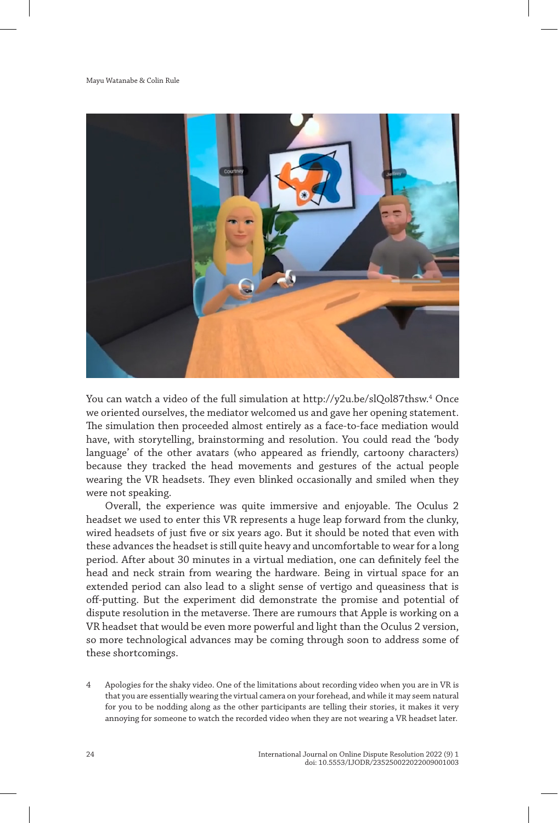

You can watch a video of the full simulation at http://y2u.be/slQol87thsw. 4 Once we oriented ourselves, the mediator welcomed us and gave her opening statement. The simulation then proceeded almost entirely as a face-to-face mediation would have, with storytelling, brainstorming and resolution. You could read the 'body language' of the other avatars (who appeared as friendly, cartoony characters) because they tracked the head movements and gestures of the actual people wearing the VR headsets. They even blinked occasionally and smiled when they were not speaking.

Overall, the experience was quite immersive and enjoyable. The Oculus 2 headset we used to enter this VR represents a huge leap forward from the clunky, wired headsets of just five or six years ago. But it should be noted that even with these advances the headset is still quite heavy and uncomfortable to wear for a long period. After about 30 minutes in a virtual mediation, one can definitely feel the head and neck strain from wearing the hardware. Being in virtual space for an extended period can also lead to a slight sense of vertigo and queasiness that is off-putting. But the experiment did demonstrate the promise and potential of dispute resolution in the metaverse. There are rumours that Apple is working on a VR headset that would be even more powerful and light than the Oculus 2 version, so more technological advances may be coming through soon to address some of these shortcomings.

4 Apologies for the shaky video. One of the limitations about recording video when you are in VR is that you are essentially wearing the virtual camera on your forehead, and while it may seem natural for you to be nodding along as the other participants are telling their stories, it makes it very annoying for someone to watch the recorded video when they are not wearing a VR headset later.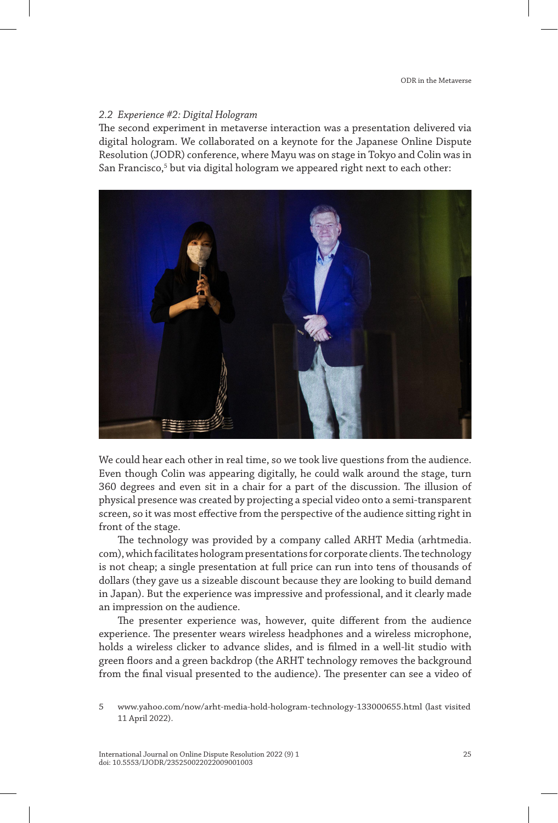## *2.2 Experience #2: Digital Hologram*

The second experiment in metaverse interaction was a presentation delivered via digital hologram. We collaborated on a keynote for the Japanese Online Dispute Resolution (JODR) conference, where Mayu was on stage in Tokyo and Colin was in San Francisco,<sup>5</sup> but via digital hologram we appeared right next to each other:



We could hear each other in real time, so we took live questions from the audience. Even though Colin was appearing digitally, he could walk around the stage, turn 360 degrees and even sit in a chair for a part of the discussion. The illusion of physical presence was created by projecting a special video onto a semi-transparent screen, so it was most effective from the perspective of the audience sitting right in front of the stage.

The technology was provided by a company called ARHT Media (arhtmedia. com), which facilitates hologram presentations for corporate clients. The technology is not cheap; a single presentation at full price can run into tens of thousands of dollars (they gave us a sizeable discount because they are looking to build demand in Japan). But the experience was impressive and professional, and it clearly made an impression on the audience.

The presenter experience was, however, quite different from the audience experience. The presenter wears wireless headphones and a wireless microphone, holds a wireless clicker to advance slides, and is filmed in a well-lit studio with green floors and a green backdrop (the ARHT technology removes the background from the final visual presented to the audience). The presenter can see a video of

<sup>5</sup> www.yahoo.com/now/arht-media-hold-hologram-technology-133000655.html (last visited 11 April 2022).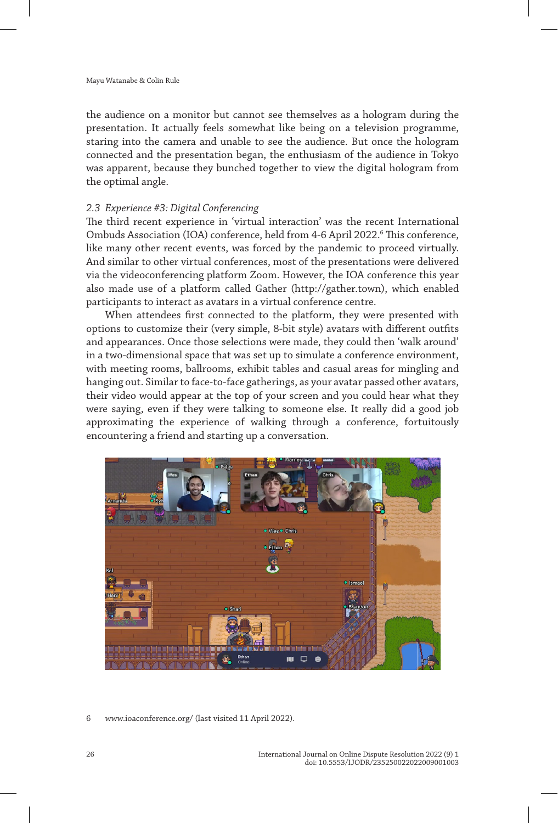the audience on a monitor but cannot see themselves as a hologram during the presentation. It actually feels somewhat like being on a television programme, staring into the camera and unable to see the audience. But once the hologram connected and the presentation began, the enthusiasm of the audience in Tokyo was apparent, because they bunched together to view the digital hologram from the optimal angle.

## *2.3 Experience #3: Digital Conferencing*

The third recent experience in 'virtual interaction' was the recent International Ombuds Association (IOA) conference, held from 4-6 April 2022.<sup>6</sup> This conference, like many other recent events, was forced by the pandemic to proceed virtually. And similar to other virtual conferences, most of the presentations were delivered via the videoconferencing platform Zoom. However, the IOA conference this year also made use of a platform called Gather (http://gather.town), which enabled participants to interact as avatars in a virtual conference centre.

When attendees first connected to the platform, they were presented with options to customize their (very simple, 8-bit style) avatars with different outfits and appearances. Once those selections were made, they could then 'walk around' in a two-dimensional space that was set up to simulate a conference environment, with meeting rooms, ballrooms, exhibit tables and casual areas for mingling and hanging out. Similar to face-to-face gatherings, as your avatar passed other avatars, their video would appear at the top of your screen and you could hear what they were saying, even if they were talking to someone else. It really did a good job approximating the experience of walking through a conference, fortuitously encountering a friend and starting up a conversation.



6 www.ioaconference.org/ (last visited 11 April 2022).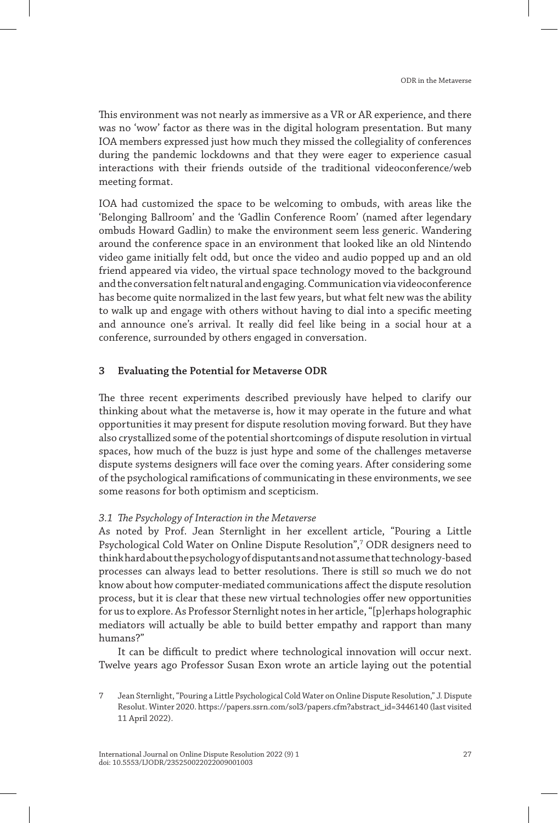This environment was not nearly as immersive as a VR or AR experience, and there was no 'wow' factor as there was in the digital hologram presentation. But many IOA members expressed just how much they missed the collegiality of conferences during the pandemic lockdowns and that they were eager to experience casual interactions with their friends outside of the traditional videoconference/web meeting format.

IOA had customized the space to be welcoming to ombuds, with areas like the 'Belonging Ballroom' and the 'Gadlin Conference Room' (named after legendary ombuds Howard Gadlin) to make the environment seem less generic. Wandering around the conference space in an environment that looked like an old Nintendo video game initially felt odd, but once the video and audio popped up and an old friend appeared via video, the virtual space technology moved to the background and the conversation felt natural and engaging. Communication via videoconference has become quite normalized in the last few years, but what felt new was the ability to walk up and engage with others without having to dial into a specific meeting and announce one's arrival. It really did feel like being in a social hour at a conference, surrounded by others engaged in conversation.

# **3 Evaluating the Potential for Metaverse ODR**

The three recent experiments described previously have helped to clarify our thinking about what the metaverse is, how it may operate in the future and what opportunities it may present for dispute resolution moving forward. But they have also crystallized some of the potential shortcomings of dispute resolution in virtual spaces, how much of the buzz is just hype and some of the challenges metaverse dispute systems designers will face over the coming years. After considering some of the psychological ramifications of communicating in these environments, we see some reasons for both optimism and scepticism.

## *3.1 The Psychology of Interaction in the Metaverse*

As noted by Prof. Jean Sternlight in her excellent article, "Pouring a Little Psychological Cold Water on Online Dispute Resolution",7 ODR designers need to think hard about the psychology of disputants and not assume that technology-based processes can always lead to better resolutions. There is still so much we do not know about how computer-mediated communications affect the dispute resolution process, but it is clear that these new virtual technologies offer new opportunities for us to explore. As Professor Sternlight notes in her article, "[p]erhaps holographic mediators will actually be able to build better empathy and rapport than many humans?"

It can be difficult to predict where technological innovation will occur next. Twelve years ago Professor Susan Exon wrote an article laying out the potential

<sup>7</sup> Jean Sternlight, "Pouring a Little Psychological Cold Water on Online Dispute Resolution," J. Dispute Resolut. Winter 2020. https://papers.ssrn.com/sol3/papers.cfm?abstract\_id=3446140 (last visited 11 April 2022).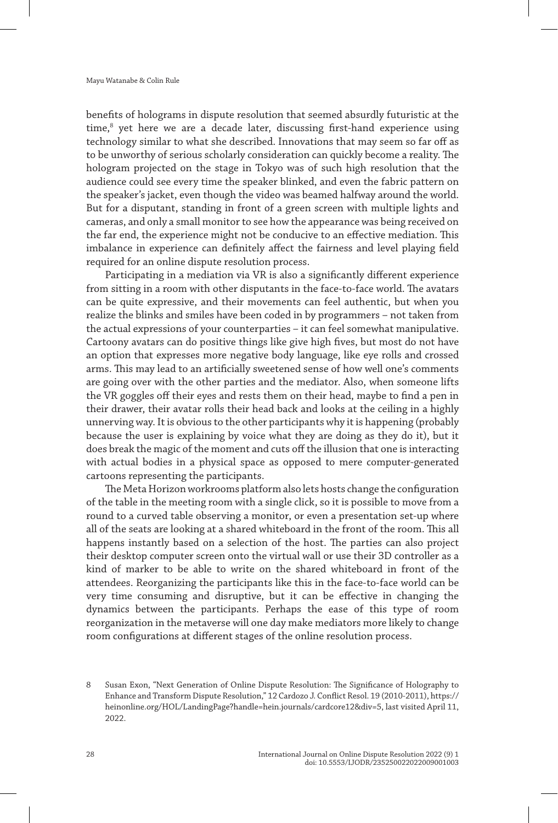benefits of holograms in dispute resolution that seemed absurdly futuristic at the time,<sup>8</sup> yet here we are a decade later, discussing first-hand experience using technology similar to what she described. Innovations that may seem so far off as to be unworthy of serious scholarly consideration can quickly become a reality. The hologram projected on the stage in Tokyo was of such high resolution that the audience could see every time the speaker blinked, and even the fabric pattern on the speaker's jacket, even though the video was beamed halfway around the world. But for a disputant, standing in front of a green screen with multiple lights and cameras, and only a small monitor to see how the appearance was being received on the far end, the experience might not be conducive to an effective mediation. This imbalance in experience can definitely affect the fairness and level playing field required for an online dispute resolution process.

Participating in a mediation via VR is also a significantly different experience from sitting in a room with other disputants in the face-to-face world. The avatars can be quite expressive, and their movements can feel authentic, but when you realize the blinks and smiles have been coded in by programmers – not taken from the actual expressions of your counterparties – it can feel somewhat manipulative. Cartoony avatars can do positive things like give high fives, but most do not have an option that expresses more negative body language, like eye rolls and crossed arms. This may lead to an artificially sweetened sense of how well one's comments are going over with the other parties and the mediator. Also, when someone lifts the VR goggles off their eyes and rests them on their head, maybe to find a pen in their drawer, their avatar rolls their head back and looks at the ceiling in a highly unnerving way. It is obvious to the other participants why it is happening (probably because the user is explaining by voice what they are doing as they do it), but it does break the magic of the moment and cuts off the illusion that one is interacting with actual bodies in a physical space as opposed to mere computer-generated cartoons representing the participants.

The Meta Horizon workrooms platform also lets hosts change the configuration of the table in the meeting room with a single click, so it is possible to move from a round to a curved table observing a monitor, or even a presentation set-up where all of the seats are looking at a shared whiteboard in the front of the room. This all happens instantly based on a selection of the host. The parties can also project their desktop computer screen onto the virtual wall or use their 3D controller as a kind of marker to be able to write on the shared whiteboard in front of the attendees. Reorganizing the participants like this in the face-to-face world can be very time consuming and disruptive, but it can be effective in changing the dynamics between the participants. Perhaps the ease of this type of room reorganization in the metaverse will one day make mediators more likely to change room configurations at different stages of the online resolution process.

<sup>8</sup> Susan Exon, "Next Generation of Online Dispute Resolution: The Significance of Holography to Enhance and Transform Dispute Resolution," 12 Cardozo J. Conflict Resol. 19 (2010-2011), https:// heinonline.org/HOL/LandingPage?handle=hein.journals/cardcore12&div=5, last visited April 11, 2022.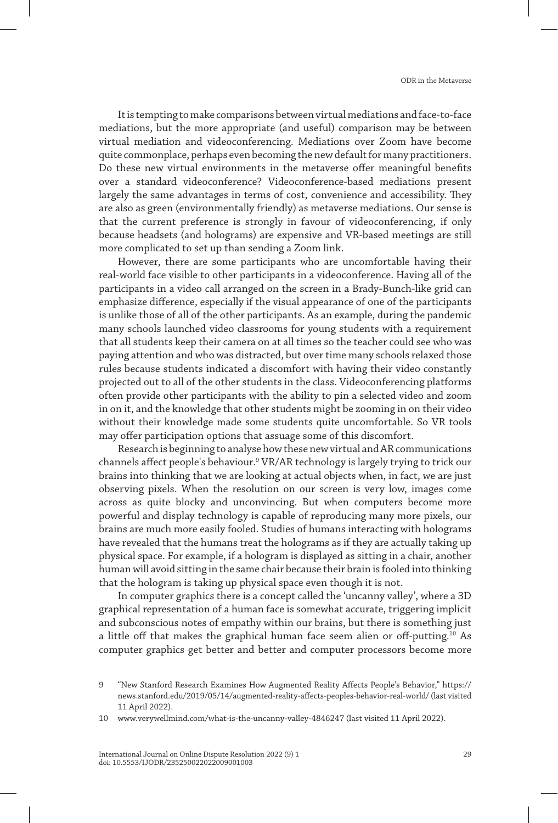It is tempting to make comparisons between virtual mediations and face-to-face mediations, but the more appropriate (and useful) comparison may be between virtual mediation and videoconferencing. Mediations over Zoom have become quite commonplace, perhaps even becoming the new default for many practitioners. Do these new virtual environments in the metaverse offer meaningful benefits over a standard videoconference? Videoconference-based mediations present largely the same advantages in terms of cost, convenience and accessibility. They are also as green (environmentally friendly) as metaverse mediations. Our sense is that the current preference is strongly in favour of videoconferencing, if only because headsets (and holograms) are expensive and VR-based meetings are still more complicated to set up than sending a Zoom link.

However, there are some participants who are uncomfortable having their real-world face visible to other participants in a videoconference. Having all of the participants in a video call arranged on the screen in a Brady-Bunch-like grid can emphasize difference, especially if the visual appearance of one of the participants is unlike those of all of the other participants. As an example, during the pandemic many schools launched video classrooms for young students with a requirement that all students keep their camera on at all times so the teacher could see who was paying attention and who was distracted, but over time many schools relaxed those rules because students indicated a discomfort with having their video constantly projected out to all of the other students in the class. Videoconferencing platforms often provide other participants with the ability to pin a selected video and zoom in on it, and the knowledge that other students might be zooming in on their video without their knowledge made some students quite uncomfortable. So VR tools may offer participation options that assuage some of this discomfort.

Research is beginning to analyse how these new virtual and AR communications channels affect people's behaviour.9 VR/AR technology is largely trying to trick our brains into thinking that we are looking at actual objects when, in fact, we are just observing pixels. When the resolution on our screen is very low, images come across as quite blocky and unconvincing. But when computers become more powerful and display technology is capable of reproducing many more pixels, our brains are much more easily fooled. Studies of humans interacting with holograms have revealed that the humans treat the holograms as if they are actually taking up physical space. For example, if a hologram is displayed as sitting in a chair, another human will avoid sitting in the same chair because their brain is fooled into thinking that the hologram is taking up physical space even though it is not.

In computer graphics there is a concept called the 'uncanny valley', where a 3D graphical representation of a human face is somewhat accurate, triggering implicit and subconscious notes of empathy within our brains, but there is something just a little off that makes the graphical human face seem alien or off-putting.<sup>10</sup> As computer graphics get better and better and computer processors become more

<sup>9</sup> "New Stanford Research Examines How Augmented Reality Affects People's Behavior," https:// news.stanford.edu/2019/05/14/augmented-reality-affects-peoples-behavior-real-world/ (last visited 11 April 2022).

<sup>10</sup> www.verywellmind.com/what-is-the-uncanny-valley-4846247 (last visited 11 April 2022).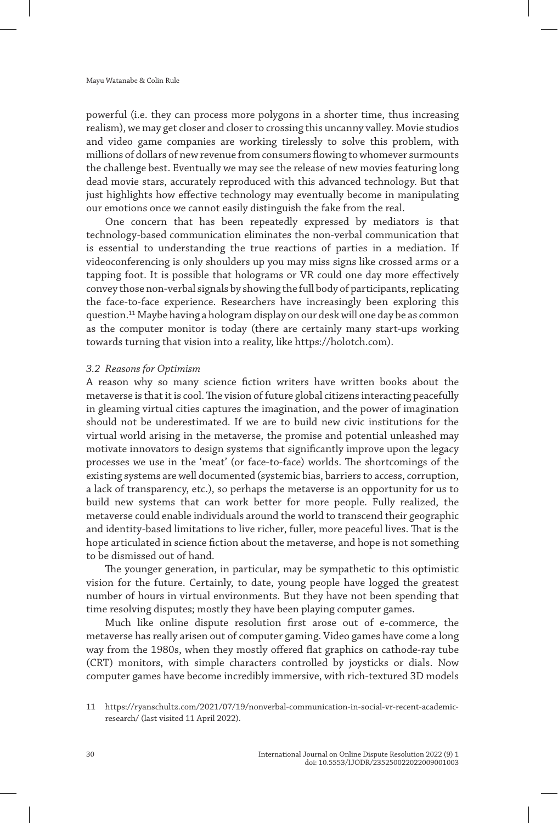powerful (i.e. they can process more polygons in a shorter time, thus increasing realism), we may get closer and closer to crossing this uncanny valley. Movie studios and video game companies are working tirelessly to solve this problem, with millions of dollars of new revenue from consumers flowing to whomever surmounts the challenge best. Eventually we may see the release of new movies featuring long dead movie stars, accurately reproduced with this advanced technology. But that just highlights how effective technology may eventually become in manipulating our emotions once we cannot easily distinguish the fake from the real.

One concern that has been repeatedly expressed by mediators is that technology-based communication eliminates the non-verbal communication that is essential to understanding the true reactions of parties in a mediation. If videoconferencing is only shoulders up you may miss signs like crossed arms or a tapping foot. It is possible that holograms or VR could one day more effectively convey those non-verbal signals by showing the full body of participants, replicating the face-to-face experience. Researchers have increasingly been exploring this question.11 Maybe having a hologram display on our desk will one day be as common as the computer monitor is today (there are certainly many start-ups working towards turning that vision into a reality, like https://holotch.com).

#### *3.2 Reasons for Optimism*

A reason why so many science fiction writers have written books about the metaverse is that it is cool. The vision of future global citizens interacting peacefully in gleaming virtual cities captures the imagination, and the power of imagination should not be underestimated. If we are to build new civic institutions for the virtual world arising in the metaverse, the promise and potential unleashed may motivate innovators to design systems that significantly improve upon the legacy processes we use in the 'meat' (or face-to-face) worlds. The shortcomings of the existing systems are well documented (systemic bias, barriers to access, corruption, a lack of transparency, etc.), so perhaps the metaverse is an opportunity for us to build new systems that can work better for more people. Fully realized, the metaverse could enable individuals around the world to transcend their geographic and identity-based limitations to live richer, fuller, more peaceful lives. That is the hope articulated in science fiction about the metaverse, and hope is not something to be dismissed out of hand.

The younger generation, in particular, may be sympathetic to this optimistic vision for the future. Certainly, to date, young people have logged the greatest number of hours in virtual environments. But they have not been spending that time resolving disputes; mostly they have been playing computer games.

Much like online dispute resolution first arose out of e-commerce, the metaverse has really arisen out of computer gaming. Video games have come a long way from the 1980s, when they mostly offered flat graphics on cathode-ray tube (CRT) monitors, with simple characters controlled by joysticks or dials. Now computer games have become incredibly immersive, with rich-textured 3D models

<sup>11</sup> https://ryanschultz.com/2021/07/19/nonverbal-communication-in-social-vr-recent-academicresearch/ (last visited 11 April 2022).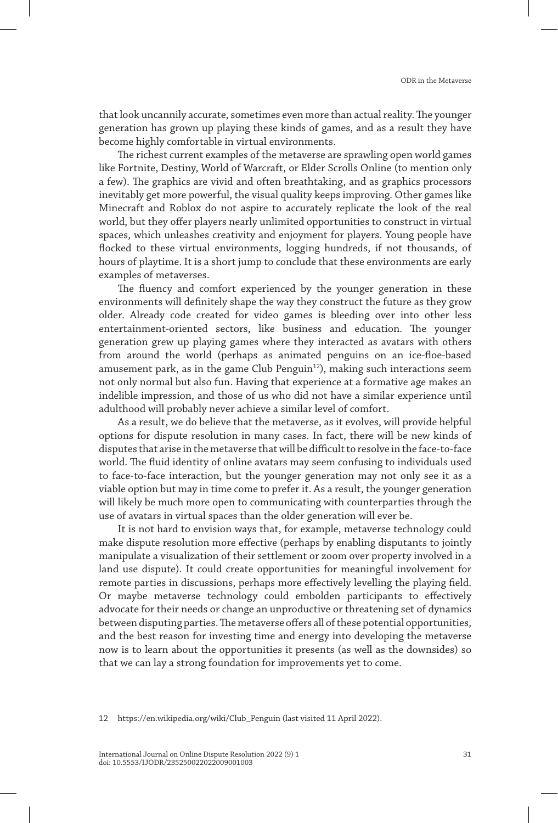that look uncannily accurate, sometimes even more than actual reality. The younger generation has grown up playing these kinds of games, and as a result they have become highly comfortable in virtual environments.

The richest current examples of the metaverse are sprawling open world games like Fortnite, Destiny, World of Warcraft, or Elder Scrolls Online (to mention only a few). The graphics are vivid and often breathtaking, and as graphics processors inevitably get more powerful, the visual quality keeps improving. Other games like Minecraft and Roblox do not aspire to accurately replicate the look of the real world, but they offer players nearly unlimited opportunities to construct in virtual spaces, which unleashes creativity and enjoyment for players. Young people have flocked to these virtual environments, logging hundreds, if not thousands, of hours of playtime. It is a short jump to conclude that these environments are early examples of metaverses.

The fluency and comfort experienced by the younger generation in these environments will definitely shape the way they construct the future as they grow older. Already code created for video games is bleeding over into other less entertainment-oriented sectors, like business and education. The younger generation grew up playing games where they interacted as avatars with others from around the world (perhaps as animated penguins on an ice-floe-based amusement park, as in the game Club Penguin $12$ ), making such interactions seem not only normal but also fun. Having that experience at a formative age makes an indelible impression, and those of us who did not have a similar experience until adulthood will probably never achieve a similar level of comfort.

As a result, we do believe that the metaverse, as it evolves, will provide helpful options for dispute resolution in many cases. In fact, there will be new kinds of disputes that arise in the metaverse that will be difficult to resolve in the face-to-face world. The fluid identity of online avatars may seem confusing to individuals used to face-to-face interaction, but the younger generation may not only see it as a viable option but may in time come to prefer it. As a result, the younger generation will likely be much more open to communicating with counterparties through the use of avatars in virtual spaces than the older generation will ever be.

It is not hard to envision ways that, for example, metaverse technology could make dispute resolution more effective (perhaps by enabling disputants to jointly manipulate a visualization of their settlement or zoom over property involved in a land use dispute). It could create opportunities for meaningful involvement for remote parties in discussions, perhaps more effectively levelling the playing field. Or maybe metaverse technology could embolden participants to effectively advocate for their needs or change an unproductive or threatening set of dynamics between disputing parties. The metaverse offers all of these potential opportunities, and the best reason for investing time and energy into developing the metaverse now is to learn about the opportunities it presents (as well as the downsides) so that we can lay a strong foundation for improvements yet to come.

12 https://en.wikipedia.org/wiki/Club\_Penguin (last visited 11 April 2022).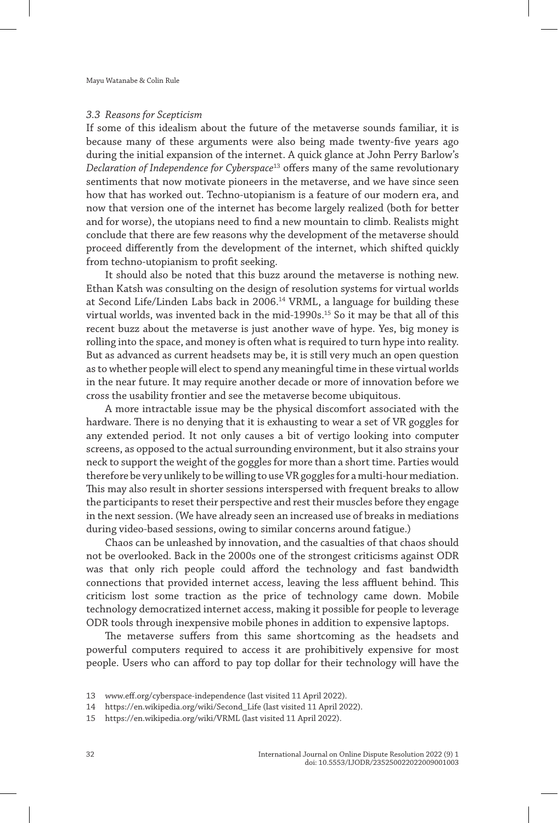#### *3.3 Reasons for Scepticism*

If some of this idealism about the future of the metaverse sounds familiar, it is because many of these arguments were also being made twenty-five years ago during the initial expansion of the internet. A quick glance at John Perry Barlow's *Declaration of Independence for Cyberspace*13 offers many of the same revolutionary sentiments that now motivate pioneers in the metaverse, and we have since seen how that has worked out. Techno-utopianism is a feature of our modern era, and now that version one of the internet has become largely realized (both for better and for worse), the utopians need to find a new mountain to climb. Realists might conclude that there are few reasons why the development of the metaverse should proceed differently from the development of the internet, which shifted quickly from techno-utopianism to profit seeking.

It should also be noted that this buzz around the metaverse is nothing new. Ethan Katsh was consulting on the design of resolution systems for virtual worlds at Second Life/Linden Labs back in 2006.14 VRML, a language for building these virtual worlds, was invented back in the mid-1990s.15 So it may be that all of this recent buzz about the metaverse is just another wave of hype. Yes, big money is rolling into the space, and money is often what is required to turn hype into reality. But as advanced as current headsets may be, it is still very much an open question as to whether people will elect to spend any meaningful time in these virtual worlds in the near future. It may require another decade or more of innovation before we cross the usability frontier and see the metaverse become ubiquitous.

A more intractable issue may be the physical discomfort associated with the hardware. There is no denying that it is exhausting to wear a set of VR goggles for any extended period. It not only causes a bit of vertigo looking into computer screens, as opposed to the actual surrounding environment, but it also strains your neck to support the weight of the goggles for more than a short time. Parties would therefore be very unlikely to be willing to use VR goggles for a multi-hour mediation. This may also result in shorter sessions interspersed with frequent breaks to allow the participants to reset their perspective and rest their muscles before they engage in the next session. (We have already seen an increased use of breaks in mediations during video-based sessions, owing to similar concerns around fatigue.)

Chaos can be unleashed by innovation, and the casualties of that chaos should not be overlooked. Back in the 2000s one of the strongest criticisms against ODR was that only rich people could afford the technology and fast bandwidth connections that provided internet access, leaving the less affluent behind. This criticism lost some traction as the price of technology came down. Mobile technology democratized internet access, making it possible for people to leverage ODR tools through inexpensive mobile phones in addition to expensive laptops.

The metaverse suffers from this same shortcoming as the headsets and powerful computers required to access it are prohibitively expensive for most people. Users who can afford to pay top dollar for their technology will have the

<sup>13</sup> www.eff.org/cyberspace-independence (last visited 11 April 2022).

<sup>14</sup> https://en.wikipedia.org/wiki/Second\_Life (last visited 11 April 2022).

<sup>15</sup> https://en.wikipedia.org/wiki/VRML (last visited 11 April 2022).